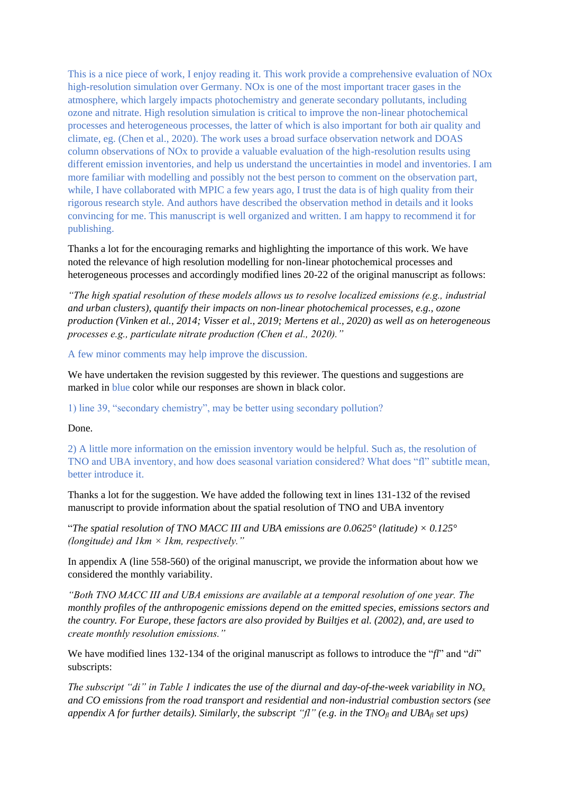This is a nice piece of work, I enjoy reading it. This work provide a comprehensive evaluation of NOx high-resolution simulation over Germany. NOx is one of the most important tracer gases in the atmosphere, which largely impacts photochemistry and generate secondary pollutants, including ozone and nitrate. High resolution simulation is critical to improve the non-linear photochemical processes and heterogeneous processes, the latter of which is also important for both air quality and climate, eg. (Chen et al., 2020). The work uses a broad surface observation network and DOAS column observations of NOx to provide a valuable evaluation of the high-resolution results using different emission inventories, and help us understand the uncertainties in model and inventories. I am more familiar with modelling and possibly not the best person to comment on the observation part, while, I have collaborated with MPIC a few years ago, I trust the data is of high quality from their rigorous research style. And authors have described the observation method in details and it looks convincing for me. This manuscript is well organized and written. I am happy to recommend it for publishing.

Thanks a lot for the encouraging remarks and highlighting the importance of this work. We have noted the relevance of high resolution modelling for non-linear photochemical processes and heterogeneous processes and accordingly modified lines 20-22 of the original manuscript as follows:

*"The high spatial resolution of these models allows us to resolve localized emissions (e.g., industrial and urban clusters), quantify their impacts on non-linear photochemical processes, e.g., ozone production (Vinken et al., 2014; Visser et al., 2019; Mertens et al., 2020) as well as on heterogeneous processes e.g., particulate nitrate production (Chen et al., 2020)."*

A few minor comments may help improve the discussion.

We have undertaken the revision suggested by this reviewer. The questions and suggestions are marked in blue color while our responses are shown in black color.

1) line 39, "secondary chemistry", may be better using secondary pollution?

Done.

2) A little more information on the emission inventory would be helpful. Such as, the resolution of TNO and UBA inventory, and how does seasonal variation considered? What does "fl" subtitle mean, better introduce it.

Thanks a lot for the suggestion. We have added the following text in lines 131-132 of the revised manuscript to provide information about the spatial resolution of TNO and UBA inventory

"The spatial resolution of TNO MACC III and UBA emissions are  $0.0625^{\circ}$  (latitude)  $\times$  0.125° *(longitude) and 1km × 1km, respectively."*

In appendix A (line 558-560) of the original manuscript, we provide the information about how we considered the monthly variability.

*"Both TNO MACC III and UBA emissions are available at a temporal resolution of one year. The monthly profiles of the anthropogenic emissions depend on the emitted species, emissions sectors and the country. For Europe, these factors are also provided by Builtjes et al. (2002), and, are used to create monthly resolution emissions."*

We have modified lines 132-134 of the original manuscript as follows to introduce the "*fl*" and "*di*" subscripts:

*The subscript "di" in Table 1 indicates the use of the diurnal and day-of-the-week variability in NO<sub><i>x*</sub> *and CO emissions from the road transport and residential and non-industrial combustion sectors (see appendix A for further details). Similarly, the subscript "fl" (e.g. in the TNO<sub><i>fl</sub>* and UBA<sub>*fl*</sub> set ups)</sub>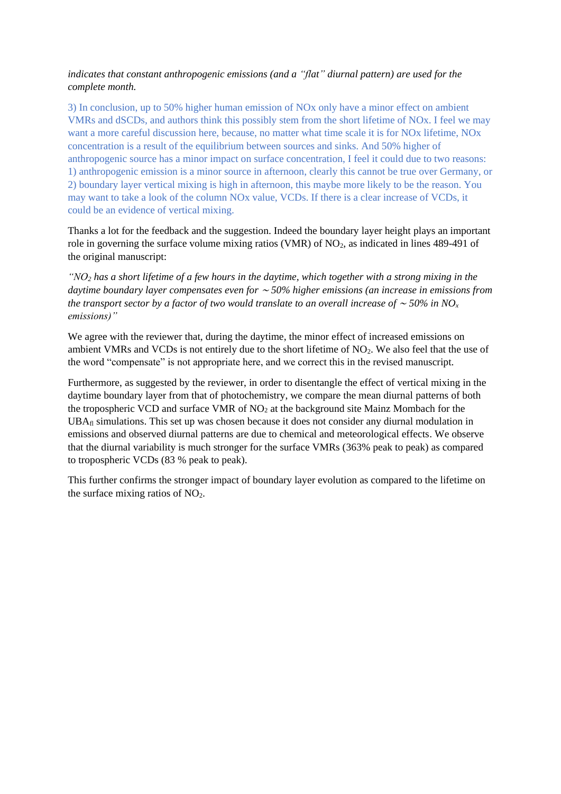## *indicates that constant anthropogenic emissions (and a "flat" diurnal pattern) are used for the complete month.*

3) In conclusion, up to 50% higher human emission of NOx only have a minor effect on ambient VMRs and dSCDs, and authors think this possibly stem from the short lifetime of NOx. I feel we may want a more careful discussion here, because, no matter what time scale it is for NOx lifetime, NOx concentration is a result of the equilibrium between sources and sinks. And 50% higher of anthropogenic source has a minor impact on surface concentration, I feel it could due to two reasons: 1) anthropogenic emission is a minor source in afternoon, clearly this cannot be true over Germany, or 2) boundary layer vertical mixing is high in afternoon, this maybe more likely to be the reason. You may want to take a look of the column NOx value, VCDs. If there is a clear increase of VCDs, it could be an evidence of vertical mixing.

Thanks a lot for the feedback and the suggestion. Indeed the boundary layer height plays an important role in governing the surface volume mixing ratios (VMR) of  $NO<sub>2</sub>$ , as indicated in lines 489-491 of the original manuscript:

*"NO<sup>2</sup> has a short lifetime of a few hours in the daytime, which together with a strong mixing in the daytime boundary layer compensates even for* <sup>∼</sup> *50% higher emissions (an increase in emissions from the transport sector by a factor of two would translate to an overall increase of* <sup>∼</sup> *50% in NO<sup>x</sup> emissions)"*

We agree with the reviewer that, during the daytime, the minor effect of increased emissions on ambient VMRs and VCDs is not entirely due to the short lifetime of  $NO<sub>2</sub>$ . We also feel that the use of the word "compensate" is not appropriate here, and we correct this in the revised manuscript.

Furthermore, as suggested by the reviewer, in order to disentangle the effect of vertical mixing in the daytime boundary layer from that of photochemistry, we compare the mean diurnal patterns of both the tropospheric VCD and surface VMR of  $NO<sub>2</sub>$  at the background site Mainz Mombach for the UBAfl simulations. This set up was chosen because it does not consider any diurnal modulation in emissions and observed diurnal patterns are due to chemical and meteorological effects. We observe that the diurnal variability is much stronger for the surface VMRs (363% peak to peak) as compared to tropospheric VCDs (83 % peak to peak).

This further confirms the stronger impact of boundary layer evolution as compared to the lifetime on the surface mixing ratios of  $NO<sub>2</sub>$ .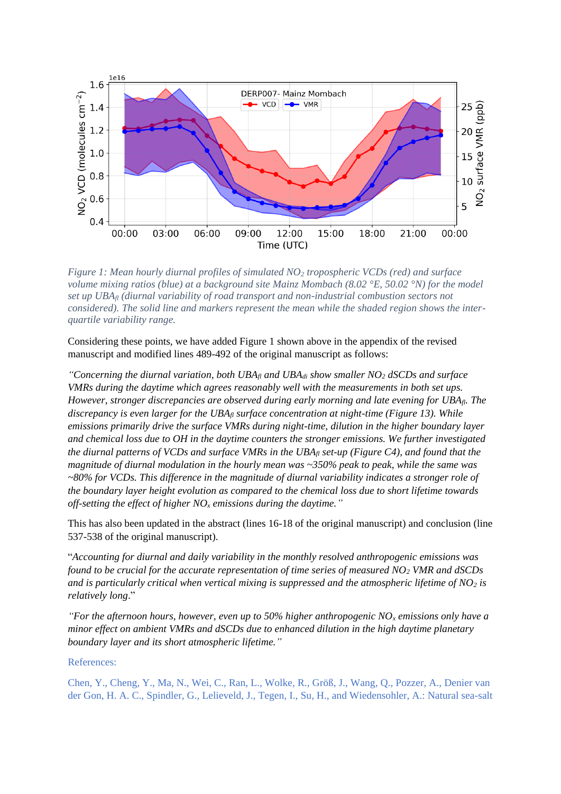

*Figure 1: Mean hourly diurnal profiles of simulated NO<sup>2</sup> tropospheric VCDs (red) and surface volume mixing ratios (blue) at a background site Mainz Mombach (8.02 °E, 50.02 °N) for the model set up UBAfl (diurnal variability of road transport and non-industrial combustion sectors not considered). The solid line and markers represent the mean while the shaded region shows the interquartile variability range.*

Considering these points, we have added Figure 1 shown above in the appendix of the revised manuscript and modified lines 489-492 of the original manuscript as follows:

*"Concerning the diurnal variation, both*  $UBA<sub>fl</sub>$  *and*  $UBA<sub>di</sub>$  *show smaller NO<sub>2</sub> <i>dSCDs and surface VMRs during the daytime which agrees reasonably well with the measurements in both set ups. However, stronger discrepancies are observed during early morning and late evening for UBAfl. The discrepancy is even larger for the UBA*<sup>*fl surface concentration at night-time (Figure 13). While*</sup> *emissions primarily drive the surface VMRs during night-time, dilution in the higher boundary layer and chemical loss due to OH in the daytime counters the stronger emissions. We further investigated the diurnal patterns of VCDs and surface VMRs in the UBA*<sup>*fl set-up* (Figure C4), and found that the</sup> *magnitude of diurnal modulation in the hourly mean was ~350% peak to peak, while the same was ~80% for VCDs. This difference in the magnitude of diurnal variability indicates a stronger role of the boundary layer height evolution as compared to the chemical loss due to short lifetime towards off-setting the effect of higher NO<sup>x</sup> emissions during the daytime."*

This has also been updated in the abstract (lines 16-18 of the original manuscript) and conclusion (line 537-538 of the original manuscript).

"*Accounting for diurnal and daily variability in the monthly resolved anthropogenic emissions was found to be crucial for the accurate representation of time series of measured NO<sup>2</sup> VMR and dSCDs and is particularly critical when vertical mixing is suppressed and the atmospheric lifetime of NO<sup>2</sup> is relatively long*."

*"For the afternoon hours, however, even up to 50% higher anthropogenic NO<sup>x</sup> emissions only have a minor effect on ambient VMRs and dSCDs due to enhanced dilution in the high daytime planetary boundary layer and its short atmospheric lifetime."*

References:

Chen, Y., Cheng, Y., Ma, N., Wei, C., Ran, L., Wolke, R., Größ, J., Wang, Q., Pozzer, A., Denier van der Gon, H. A. C., Spindler, G., Lelieveld, J., Tegen, I., Su, H., and Wiedensohler, A.: Natural sea-salt